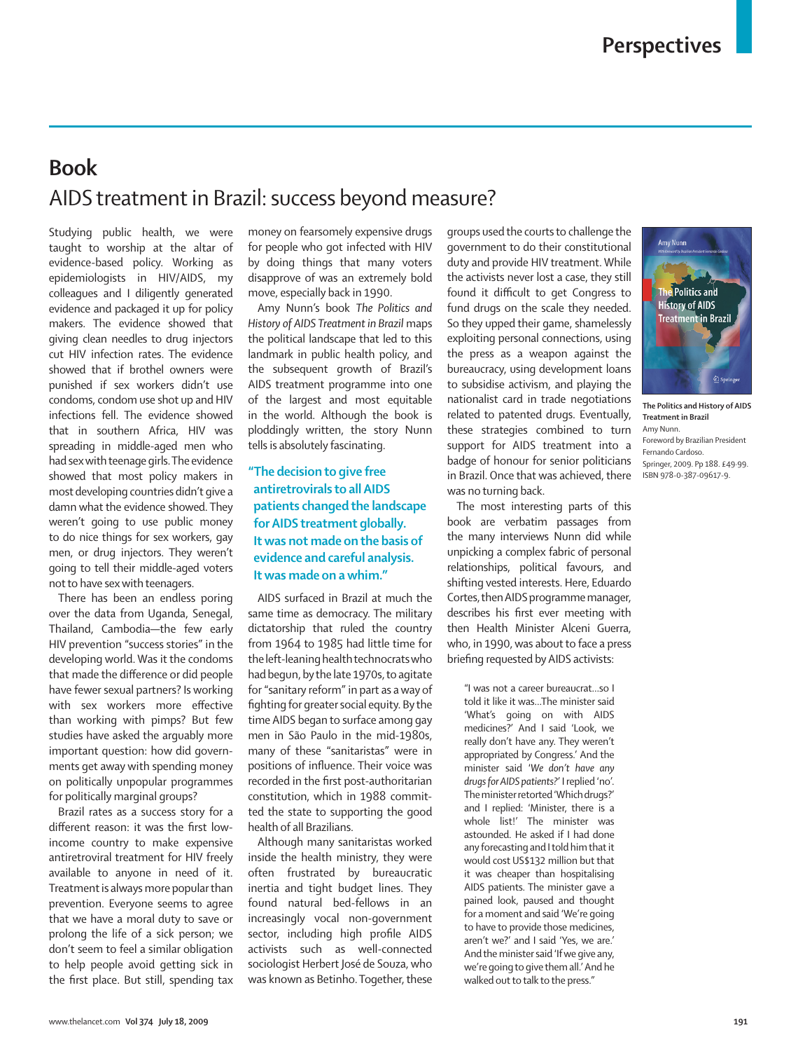## **Book** AIDS treatment in Brazil: success beyond measure?

Studying public health, we were taught to worship at the altar of evidence-based policy. Working as epidemiologists in HIV/AIDS, my colleagues and I diligently generated evidence and packaged it up for policy makers. The evidence showed that giving clean needles to drug injectors cut HIV infection rates. The evidence showed that if brothel owners were punished if sex workers didn't use condoms, condom use shot up and HIV infections fell. The evidence showed that in southern Africa, HIV was spreading in middle-aged men who had sex with teenage girls. The evidence showed that most policy makers in most developing countries didn't give a damn what the evidence showed. They weren't going to use public money to do nice things for sex workers, gay men, or drug injectors. They weren't going to tell their middle-aged voters not to have sex with teenagers.

There has been an endless poring over the data from Uganda, Senegal, Thailand, Cambodia—the few early HIV prevention "success stories" in the developing world. Was it the condoms that made the difference or did people have fewer sexual partners? Is working with sex workers more effective than working with pimps? But few studies have asked the arguably more important question: how did governments get away with spending money on politically unpopular programmes for politically marginal groups?

Brazil rates as a success story for a different reason: it was the first lowincome country to make expensive antiretroviral treatment for HIV freely available to anyone in need of it. Treatment is always more popular than prevention. Everyone seems to agree that we have a moral duty to save or prolong the life of a sick person; we don't seem to feel a similar obligation to help people avoid getting sick in the first place. But still, spending tax money on fearsomely expensive drugs for people who got infected with HIV by doing things that many voters disapprove of was an extremely bold move, especially back in 1990.

Amy Nunn's book *The Politics and History of AIDS Treatment in Brazil* maps the political landscape that led to this landmark in public health policy, and the subsequent growth of Brazil's AIDS treatment programme into one of the largest and most equitable in the world. Although the book is ploddingly written, the story Nunn tells is absolutely fascinating.

## **"The decision to give free antiretrovirals to all AIDS patients changed the landscape for AIDS treatment globally. It was not made on the basis of evidence and careful analysis. It was made on a whim."**

AIDS surfaced in Brazil at much the same time as democracy. The military dictatorship that ruled the country from 1964 to 1985 had little time for the left-leaning health technocrats who had begun, by the late 1970s, to agitate for "sanitary reform" in part as a way of fighting for greater social equity. By the time AIDS began to surface among gay men in São Paulo in the mid-1980s, many of these "sanitaristas" were in positions of influence. Their voice was recorded in the first post-authoritarian constitution, which in 1988 committed the state to supporting the good health of all Brazilians.

Although many sanitaristas worked inside the health ministry, they were often frustrated by bureaucratic inertia and tight budget lines. They found natural bed-fellows in an increasingly vocal non-government sector, including high profile AIDS activists such as well-connected sociologist Herbert José de Souza, who was known as Betinho. Together, these

groups used the courts to challenge the government to do their constitutional duty and provide HIV treatment. While the activists never lost a case, they still found it difficult to get Congress to fund drugs on the scale they needed. So they upped their game, shamelessly exploiting personal connections, using the press as a weapon against the bureaucracy, using development loans to subsidise activism, and playing the nationalist card in trade negotiations related to patented drugs. Eventually, these strategies combined to turn support for AIDS treatment into a badge of honour for senior politicians in Brazil. Once that was achieved, there was no turning back.

The most interesting parts of this book are verbatim passages from the many interviews Nunn did while unpicking a complex fabric of personal relationships, political favours, and shifting vested interests. Here, Eduardo Cortes, then AIDS programme manager, describes his first ever meeting with then Health Minister Alceni Guerra, who, in 1990, was about to face a press briefing requested by AIDS activists:

"I was not a career bureaucrat…so I told it like it was…The minister said 'What's going on with AIDS medicines?' And I said 'Look, we really don't have any. They weren't appropriated by Congress.' And the minister said '*We don't have any drugs for AIDS patients?*' I replied 'no'. The minister retorted 'Which drugs?' and I replied: 'Minister, there is a whole list!' The minister was astounded. He asked if I had done any forecasting and I told him that it would cost US\$132 million but that it was cheaper than hospitalising AIDS patients. The minister gave a pained look, paused and thought for a moment and said 'We're going to have to provide those medicines, aren't we?' and I said 'Yes, we are.' And the minister said 'If we give any, we're going to give them all.' And he walked out to talk to the press."



**The Politics and History of AIDS Treatment in Brazil** Amy Nunn. Foreword by Brazilian President Fernando Cardoso. Springer, 2009. Pp 188. £49·99. ISBN 978-0-387-09617-9.